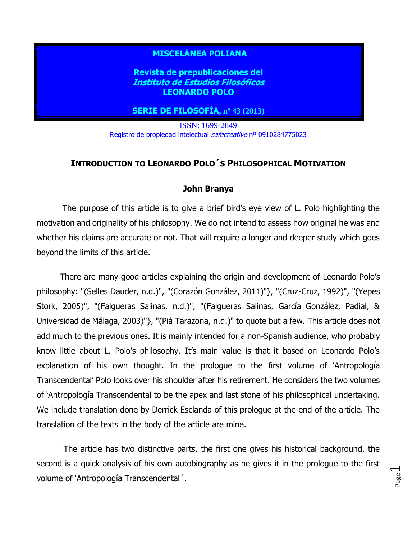## **MISCELÁNEA POLIANA**

**Revista de prepublicaciones del Instituto de Estudios Filosóficos LEONARDO POLO**

### **SERIE DE FILOSOFÍA, nº 43 (2013)**

ISSN: 1699-2849 Registro de propiedad intelectual safecreative nº 0910284775023

### **INTRODUCTION TO LEONARDO POLO´S PHILOSOPHICAL MOTIVATION**

#### **John Branya**

 The purpose of this article is to give a brief bird's eye view of L. Polo highlighting the motivation and originality of his philosophy. We do not intend to assess how original he was and whether his claims are accurate or not. That will require a longer and deeper study which goes beyond the limits of this article.

 There are many good articles explaining the origin and development of Leonardo Polo's philosophy: "(Selles Dauder, n.d.)", "(Corazón González, 2011)"}, "(Cruz-Cruz, 1992)", "(Yepes Stork, 2005)", "(Falgueras Salinas, n.d.)", "(Falgueras Salinas, García González, Padial, & Universidad de Málaga, 2003)"}, "(Piá Tarazona, n.d.)" to quote but a few. This article does not add much to the previous ones. It is mainly intended for a non-Spanish audience, who probably know little about L. Polo's philosophy. It's main value is that it based on Leonardo Polo's explanation of his own thought. In the prologue to the first volume of 'Antropología Transcendental' Polo looks over his shoulder after his retirement. He considers the two volumes of 'Antropología Transcendental to be the apex and last stone of his philosophical undertaking. We include translation done by Derrick Esclanda of this prologue at the end of the article. The translation of the texts in the body of the article are mine.

 The article has two distinctive parts, the first one gives his historical background, the second is a quick analysis of his own autobiography as he gives it in the prologue to the first volume of 'Antropología Transcendental´.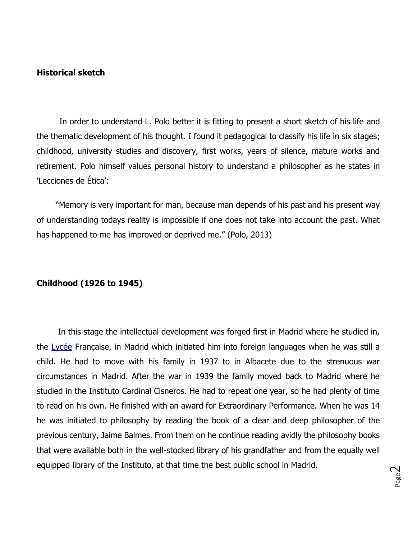#### **Historical sketch**

 In order to understand L. Polo better it is fitting to present a short sketch of his life and the thematic development of his thought. I found it pedagogical to classify his life in six stages; childhood, university studies and discovery, first works, years of silence, mature works and retirement. Polo himself values personal history to understand a philosopher as he states in 'Lecciones de Ética':

 "Memory is very important for man, because man depends of his past and his present way of understanding todays reality is impossible if one does not take into account the past. What has happened to me has improved or deprived me." (Polo, 2013)

#### **Childhood (1926 to 1945)**

 In this stage the intellectual development was forged first in Madrid where he studied in, the [Lycée](http://www.diderot.ac.ke/index.html) Française, in Madrid which initiated him into foreign languages when he was still a child. He had to move with his family in 1937 to in Albacete due to the strenuous war circumstances in Madrid. After the war in 1939 the family moved back to Madrid where he studied in the Instituto Cardinal Cisneros. He had to repeat one year, so he had plenty of time to read on his own. He finished with an award for Extraordinary Performance. When he was 14 he was initiated to philosophy by reading the book of a clear and deep philosopher of the previous century, Jaime Balmes. From them on he continue reading avidly the philosophy books that were available both in the well-stocked library of his grandfather and from the equally well equipped library of the Instituto, at that time the best public school in Madrid.

Page  $\mathrel{\sim}$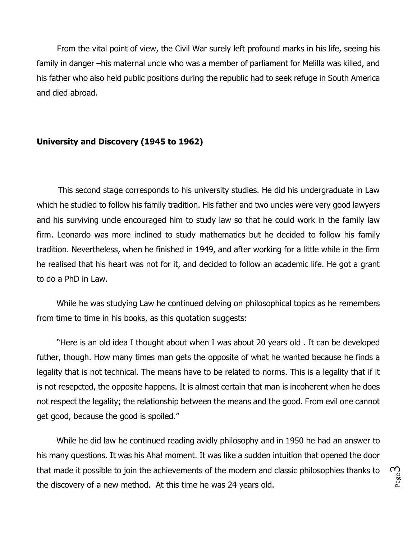From the vital point of view, the Civil War surely left profound marks in his life, seeing his family in danger –his maternal uncle who was a member of parliament for Melilla was killed, and his father who also held public positions during the republic had to seek refuge in South America and died abroad.

### **University and Discovery (1945 to 1962)**

 This second stage corresponds to his university studies. He did his undergraduate in Law which he studied to follow his family tradition. His father and two uncles were very good lawyers and his surviving uncle encouraged him to study law so that he could work in the family law firm. Leonardo was more inclined to study mathematics but he decided to follow his family tradition. Nevertheless, when he finished in 1949, and after working for a little while in the firm he realised that his heart was not for it, and decided to follow an academic life. He got a grant to do a PhD in Law.

 While he was studying Law he continued delving on philosophical topics as he remembers from time to time in his books, as this quotation suggests:

 "Here is an old idea I thought about when I was about 20 years old . It can be developed futher, though. How many times man gets the opposite of what he wanted because he finds a legality that is not technical. The means have to be related to norms. This is a legality that if it is not resepcted, the opposite happens. It is almost certain that man is incoherent when he does not respect the legality; the relationship between the means and the good. From evil one cannot get good, because the good is spoiled."

 While he did law he continued reading avidly philosophy and in 1950 he had an answer to his many questions. It was his Aha! moment. It was like a sudden intuition that opened the door that made it possible to join the achievements of the modern and classic philosophies thanks to the discovery of a new method. At this time he was 24 years old.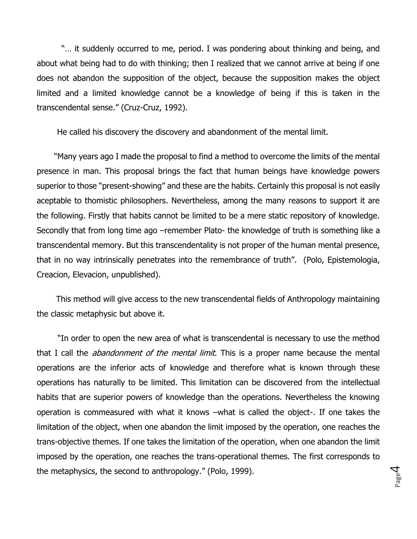"... it suddenly occurred to me, period. I was pondering about thinking and being, and about what being had to do with thinking; then I realized that we cannot arrive at being if one does not abandon the supposition of the object, because the supposition makes the object limited and a limited knowledge cannot be a knowledge of being if this is taken in the transcendental sense." (Cruz-Cruz, 1992).

He called his discovery the discovery and abandonment of the mental limit.

 "Many years ago I made the proposal to find a method to overcome the limits of the mental presence in man. This proposal brings the fact that human beings have knowledge powers superior to those "present-showing" and these are the habits. Certainly this proposal is not easily aceptable to thomistic philosophers. Nevertheless, among the many reasons to support it are the following. Firstly that habits cannot be limited to be a mere static repository of knowledge. Secondly that from long time ago –remember Plato- the knowledge of truth is something like a transcendental memory. But this transcendentality is not proper of the human mental presence, that in no way intrinsically penetrates into the remembrance of truth". (Polo, Epistemologia, Creacion, Elevacion, unpublished).

 This method will give access to the new transcendental fields of Anthropology maintaining the classic metaphysic but above it.

 "In order to open the new area of what is transcendental is necessary to use the method that I call the *abandonment of the mental limit*. This is a proper name because the mental operations are the inferior acts of knowledge and therefore what is known through these operations has naturally to be limited. This limitation can be discovered from the intellectual habits that are superior powers of knowledge than the operations. Nevertheless the knowing operation is commeasured with what it knows –what is called the object-. If one takes the limitation of the object, when one abandon the limit imposed by the operation, one reaches the trans-objective themes. If one takes the limitation of the operation, when one abandon the limit imposed by the operation, one reaches the trans-operational themes. The first corresponds to the metaphysics, the second to anthropology." (Polo, 1999).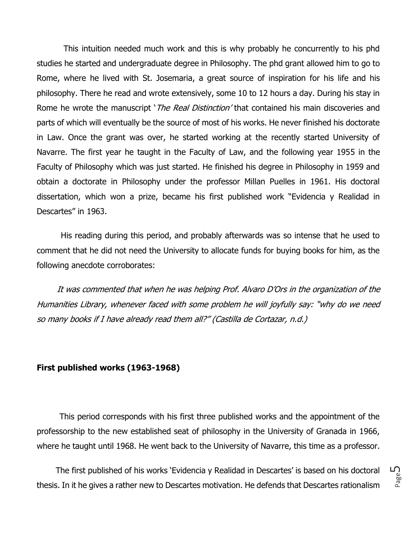This intuition needed much work and this is why probably he concurrently to his phd studies he started and undergraduate degree in Philosophy. The phd grant allowed him to go to Rome, where he lived with St. Josemaria, a great source of inspiration for his life and his philosophy. There he read and wrote extensively, some 10 to 12 hours a day. During his stay in Rome he wrote the manuscript '*The Real Distinction'* that contained his main discoveries and parts of which will eventually be the source of most of his works. He never finished his doctorate in Law. Once the grant was over, he started working at the recently started University of Navarre. The first year he taught in the Faculty of Law, and the following year 1955 in the Faculty of Philosophy which was just started. He finished his degree in Philosophy in 1959 and obtain a doctorate in Philosophy under the professor Millan Puelles in 1961. His doctoral dissertation, which won a prize, became his first published work "Evidencia y Realidad in Descartes" in 1963.

 His reading during this period, and probably afterwards was so intense that he used to comment that he did not need the University to allocate funds for buying books for him, as the following anecdote corroborates:

 It was commented that when he was helping Prof. Alvaro D'Ors in the organization of the Humanities Library, whenever faced with some problem he will joyfully say: "why do we need so many books if I have already read them all?" (Castilla de Cortazar, n.d.)

#### **First published works (1963-1968)**

 This period corresponds with his first three published works and the appointment of the professorship to the new established seat of philosophy in the University of Granada in 1966, where he taught until 1968. He went back to the University of Navarre, this time as a professor.

 The first published of his works 'Evidencia y Realidad in Descartes' is based on his doctoral thesis. In it he gives a rather new to Descartes motivation. He defends that Descartes rationalism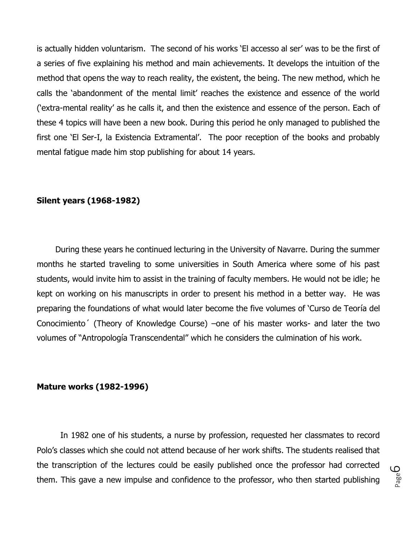is actually hidden voluntarism. The second of his works 'El accesso al ser' was to be the first of a series of five explaining his method and main achievements. It develops the intuition of the method that opens the way to reach reality, the existent, the being. The new method, which he calls the 'abandonment of the mental limit' reaches the existence and essence of the world ('extra-mental reality' as he calls it, and then the existence and essence of the person. Each of these 4 topics will have been a new book. During this period he only managed to published the first one 'El Ser-I, la Existencia Extramental'. The poor reception of the books and probably mental fatigue made him stop publishing for about 14 years.

#### **Silent years (1968-1982)**

 During these years he continued lecturing in the University of Navarre. During the summer months he started traveling to some universities in South America where some of his past students, would invite him to assist in the training of faculty members. He would not be idle; he kept on working on his manuscripts in order to present his method in a better way. He was preparing the foundations of what would later become the five volumes of 'Curso de Teoría del Conocimiento´ (Theory of Knowledge Course) –one of his master works- and later the two volumes of "Antropología Transcendental" which he considers the culmination of his work.

#### **Mature works (1982-1996)**

 In 1982 one of his students, a nurse by profession, requested her classmates to record Polo's classes which she could not attend because of her work shifts. The students realised that the transcription of the lectures could be easily published once the professor had corrected them. This gave a new impulse and confidence to the professor, who then started publishing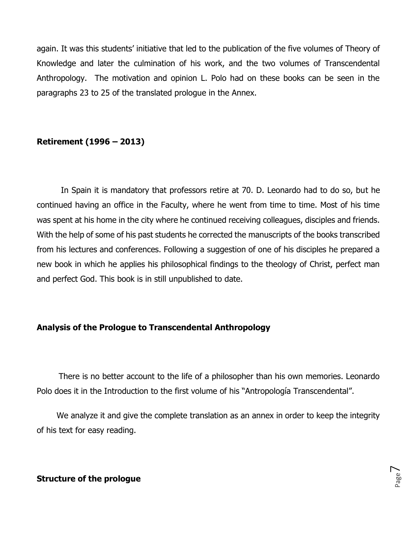again. It was this students' initiative that led to the publication of the five volumes of Theory of Knowledge and later the culmination of his work, and the two volumes of Transcendental Anthropology. The motivation and opinion L. Polo had on these books can be seen in the paragraphs 23 to 25 of the translated prologue in the Annex.

## **Retirement (1996 – 2013)**

 In Spain it is mandatory that professors retire at 70. D. Leonardo had to do so, but he continued having an office in the Faculty, where he went from time to time. Most of his time was spent at his home in the city where he continued receiving colleagues, disciples and friends. With the help of some of his past students he corrected the manuscripts of the books transcribed from his lectures and conferences. Following a suggestion of one of his disciples he prepared a new book in which he applies his philosophical findings to the theology of Christ, perfect man and perfect God. This book is in still unpublished to date.

## **Analysis of the Prologue to Transcendental Anthropology**

 There is no better account to the life of a philosopher than his own memories. Leonardo Polo does it in the Introduction to the first volume of his "Antropología Transcendental".

 We analyze it and give the complete translation as an annex in order to keep the integrity of his text for easy reading.

#### **Structure of the prologue**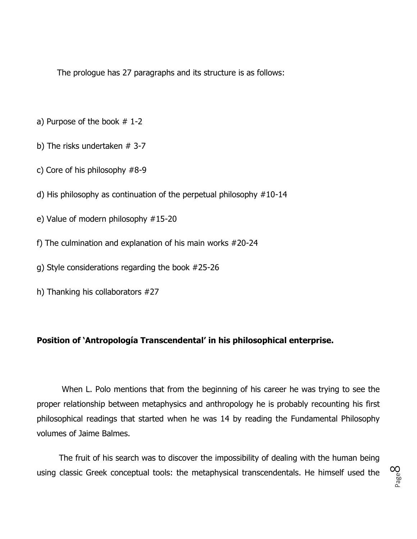The prologue has 27 paragraphs and its structure is as follows:

- a) Purpose of the book # 1-2
- b) The risks undertaken # 3-7
- c) Core of his philosophy #8-9
- d) His philosophy as continuation of the perpetual philosophy #10-14
- e) Value of modern philosophy #15-20
- f) The culmination and explanation of his main works #20-24
- g) Style considerations regarding the book #25-26
- h) Thanking his collaborators #27

## **Position of 'Antropología Transcendental' in his philosophical enterprise.**

 When L. Polo mentions that from the beginning of his career he was trying to see the proper relationship between metaphysics and anthropology he is probably recounting his first philosophical readings that started when he was 14 by reading the Fundamental Philosophy volumes of Jaime Balmes.

 The fruit of his search was to discover the impossibility of dealing with the human being using classic Greek conceptual tools: the metaphysical transcendentals. He himself used the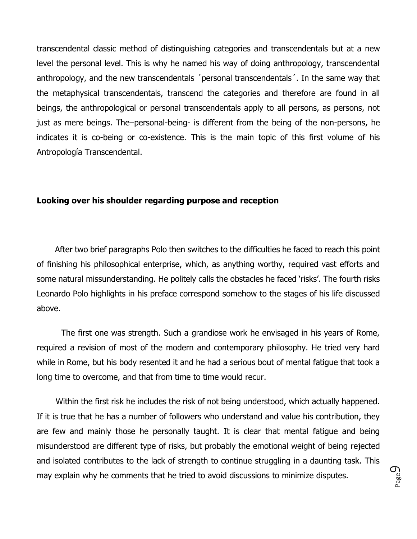transcendental classic method of distinguishing categories and transcendentals but at a new level the personal level. This is why he named his way of doing anthropology, transcendental anthropology, and the new transcendentals ´personal transcendentals´. In the same way that the metaphysical transcendentals, transcend the categories and therefore are found in all beings, the anthropological or personal transcendentals apply to all persons, as persons, not just as mere beings. The–personal-being- is different from the being of the non-persons, he indicates it is co-being or co-existence. This is the main topic of this first volume of his Antropología Transcendental.

#### **Looking over his shoulder regarding purpose and reception**

 After two brief paragraphs Polo then switches to the difficulties he faced to reach this point of finishing his philosophical enterprise, which, as anything worthy, required vast efforts and some natural missunderstanding. He politely calls the obstacles he faced 'risks'. The fourth risks Leonardo Polo highlights in his preface correspond somehow to the stages of his life discussed above.

 The first one was strength. Such a grandiose work he envisaged in his years of Rome, required a revision of most of the modern and contemporary philosophy. He tried very hard while in Rome, but his body resented it and he had a serious bout of mental fatigue that took a long time to overcome, and that from time to time would recur.

 Within the first risk he includes the risk of not being understood, which actually happened. If it is true that he has a number of followers who understand and value his contribution, they are few and mainly those he personally taught. It is clear that mental fatigue and being misunderstood are different type of risks, but probably the emotional weight of being rejected and isolated contributes to the lack of strength to continue struggling in a daunting task. This may explain why he comments that he tried to avoid discussions to minimize disputes.

Page  $\mathcal O$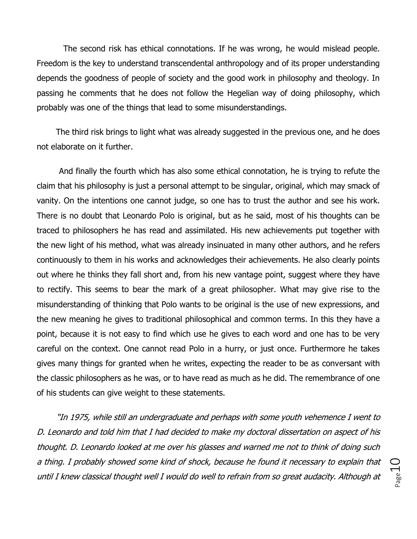The second risk has ethical connotations. If he was wrong, he would mislead people. Freedom is the key to understand transcendental anthropology and of its proper understanding depends the goodness of people of society and the good work in philosophy and theology. In passing he comments that he does not follow the Hegelian way of doing philosophy, which probably was one of the things that lead to some misunderstandings.

 The third risk brings to light what was already suggested in the previous one, and he does not elaborate on it further.

 And finally the fourth which has also some ethical connotation, he is trying to refute the claim that his philosophy is just a personal attempt to be singular, original, which may smack of vanity. On the intentions one cannot judge, so one has to trust the author and see his work. There is no doubt that Leonardo Polo is original, but as he said, most of his thoughts can be traced to philosophers he has read and assimilated. His new achievements put together with the new light of his method, what was already insinuated in many other authors, and he refers continuously to them in his works and acknowledges their achievements. He also clearly points out where he thinks they fall short and, from his new vantage point, suggest where they have to rectify. This seems to bear the mark of a great philosopher. What may give rise to the misunderstanding of thinking that Polo wants to be original is the use of new expressions, and the new meaning he gives to traditional philosophical and common terms. In this they have a point, because it is not easy to find which use he gives to each word and one has to be very careful on the context. One cannot read Polo in a hurry, or just once. Furthermore he takes gives many things for granted when he writes, expecting the reader to be as conversant with the classic philosophers as he was, or to have read as much as he did. The remembrance of one of his students can give weight to these statements.

 "In 1975, while still an undergraduate and perhaps with some youth vehemence I went to D. Leonardo and told him that I had decided to make my doctoral dissertation on aspect of his thought. D. Leonardo looked at me over his glasses and warned me not to think of doing such a thing. I probably showed some kind of shock, because he found it necessary to explain that until I knew classical thought well I would do well to refrain from so great audacity. Although at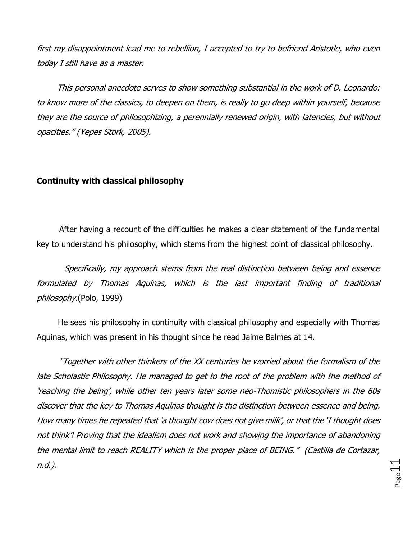first my disappointment lead me to rebellion, I accepted to try to befriend Aristotle, who even today I still have as a master.

 This personal anecdote serves to show something substantial in the work of D. Leonardo: to know more of the classics, to deepen on them, is really to go deep within yourself, because they are the source of philosophizing, a perennially renewed origin, with latencies, but without opacities." (Yepes Stork, 2005).

## **Continuity with classical philosophy**

 After having a recount of the difficulties he makes a clear statement of the fundamental key to understand his philosophy, which stems from the highest point of classical philosophy.

 Specifically, my approach stems from the real distinction between being and essence formulated by Thomas Aquinas, which is the last important finding of traditional philosophy.(Polo, 1999)

 He sees his philosophy in continuity with classical philosophy and especially with Thomas Aquinas, which was present in his thought since he read Jaime Balmes at 14.

 "Together with other thinkers of the XX centuries he worried about the formalism of the late Scholastic Philosophy. He managed to get to the root of the problem with the method of 'reaching the being', while other ten years later some neo-Thomistic philosophers in the 60s discover that the key to Thomas Aquinas thought is the distinction between essence and being. How many times he repeated that 'a thought cow does not give milk', or that the 'I thought does not think'! Proving that the idealism does not work and showing the importance of abandoning the mental limit to reach REALITY which is the proper place of BEING." (Castilla de Cortazar, n.d.).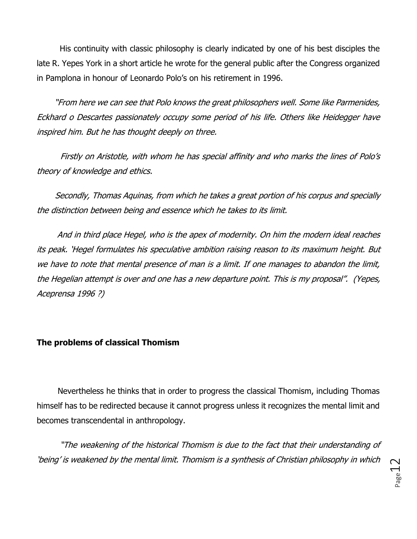His continuity with classic philosophy is clearly indicated by one of his best disciples the late R. Yepes York in a short article he wrote for the general public after the Congress organized in Pamplona in honour of Leonardo Polo's on his retirement in 1996.

 "From here we can see that Polo knows the great philosophers well. Some like Parmenides, Eckhard o Descartes passionately occupy some period of his life. Others like Heidegger have inspired him. But he has thought deeply on three.

 Firstly on Aristotle, with whom he has special affinity and who marks the lines of Polo's theory of knowledge and ethics.

 Secondly, Thomas Aquinas, from which he takes a great portion of his corpus and specially the distinction between being and essence which he takes to its limit.

 And in third place Hegel, who is the apex of modernity. On him the modern ideal reaches its peak. 'Hegel formulates his speculative ambition raising reason to its maximum height. But we have to note that mental presence of man is a limit. If one manages to abandon the limit, the Hegelian attempt is over and one has a new departure point. This is my proposal". (Yepes, Aceprensa 1996 ?)

## **The problems of classical Thomism**

 Nevertheless he thinks that in order to progress the classical Thomism, including Thomas himself has to be redirected because it cannot progress unless it recognizes the mental limit and becomes transcendental in anthropology.

 "The weakening of the historical Thomism is due to the fact that their understanding of 'being' is weakened by the mental limit. Thomism is a synthesis of Christian philosophy in which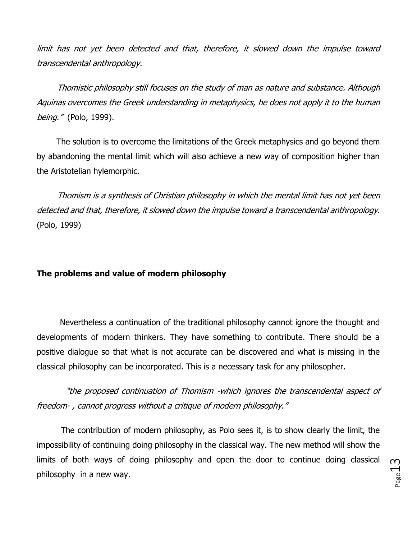limit has not yet been detected and that, therefore, it slowed down the impulse toward transcendental anthropology.

 Thomistic philosophy still focuses on the study of man as nature and substance. Although Aquinas overcomes the Greek understanding in metaphysics, he does not apply it to the human being." (Polo, 1999).

 The solution is to overcome the limitations of the Greek metaphysics and go beyond them by abandoning the mental limit which will also achieve a new way of composition higher than the Aristotelian hylemorphic.

 Thomism is a synthesis of Christian philosophy in which the mental limit has not yet been detected and that, therefore, it slowed down the impulse toward a transcendental anthropology. (Polo, 1999)

## **The problems and value of modern philosophy**

 Nevertheless a continuation of the traditional philosophy cannot ignore the thought and developments of modern thinkers. They have something to contribute. There should be a positive dialogue so that what is not accurate can be discovered and what is missing in the classical philosophy can be incorporated. This is a necessary task for any philosopher.

 "the proposed continuation of Thomism -which ignores the transcendental aspect of freedom- , cannot progress without a critique of modern philosophy."

 The contribution of modern philosophy, as Polo sees it, is to show clearly the limit, the impossibility of continuing doing philosophy in the classical way. The new method will show the limits of both ways of doing philosophy and open the door to continue doing classical philosophy in a new way.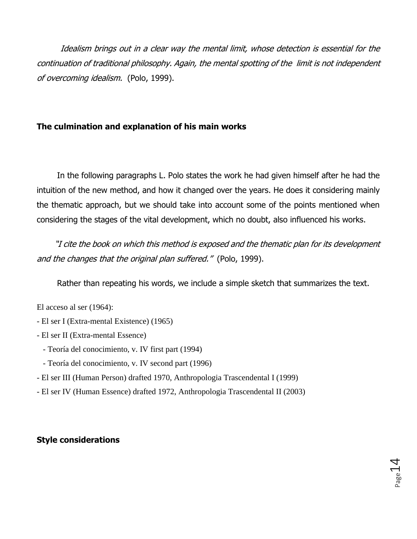Idealism brings out in a clear way the mental limit, whose detection is essential for the continuation of traditional philosophy. Again, the mental spotting of the limit is not independent of overcoming idealism. (Polo, 1999).

## **The culmination and explanation of his main works**

 In the following paragraphs L. Polo states the work he had given himself after he had the intuition of the new method, and how it changed over the years. He does it considering mainly the thematic approach, but we should take into account some of the points mentioned when considering the stages of the vital development, which no doubt, also influenced his works.

 "I cite the book on which this method is exposed and the thematic plan for its development and the changes that the original plan suffered." (Polo, 1999).

Rather than repeating his words, we include a simple sketch that summarizes the text.

El acceso al ser (1964):

- El ser I (Extra-mental Existence) (1965)
- El ser II (Extra-mental Essence)
	- Teoría del conocimiento, v. IV first part (1994)
	- Teoría del conocimiento, v. IV second part (1996)
- El ser III (Human Person) drafted 1970, Anthropologia Trascendental I (1999)
- El ser IV (Human Essence) drafted 1972, Anthropologia Trascendental II (2003)

# **Style considerations**

 $P_{\text{age}}14$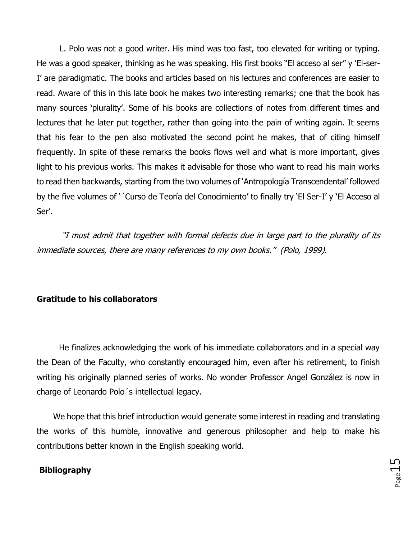L. Polo was not a good writer. His mind was too fast, too elevated for writing or typing. He was a good speaker, thinking as he was speaking. His first books "El acceso al ser" y 'El-ser-I' are paradigmatic. The books and articles based on his lectures and conferences are easier to read. Aware of this in this late book he makes two interesting remarks; one that the book has many sources 'plurality'. Some of his books are collections of notes from different times and lectures that he later put together, rather than going into the pain of writing again. It seems that his fear to the pen also motivated the second point he makes, that of citing himself frequently. In spite of these remarks the books flows well and what is more important, gives light to his previous works. This makes it advisable for those who want to read his main works to read then backwards, starting from the two volumes of 'Antropología Transcendental' followed by the five volumes of '´Curso de Teoría del Conocimiento' to finally try 'El Ser-I' y 'El Acceso al Ser'.

 "I must admit that together with formal defects due in large part to the plurality of its immediate sources, there are many references to my own books." (Polo, 1999).

#### **Gratitude to his collaborators**

 He finalizes acknowledging the work of his immediate collaborators and in a special way the Dean of the Faculty, who constantly encouraged him, even after his retirement, to finish writing his originally planned series of works. No wonder Professor Angel González is now in charge of Leonardo Polo´s intellectual legacy.

 We hope that this brief introduction would generate some interest in reading and translating the works of this humble, innovative and generous philosopher and help to make his contributions better known in the English speaking world.

#### **Bibliography**

 $P_{\text{age}}15$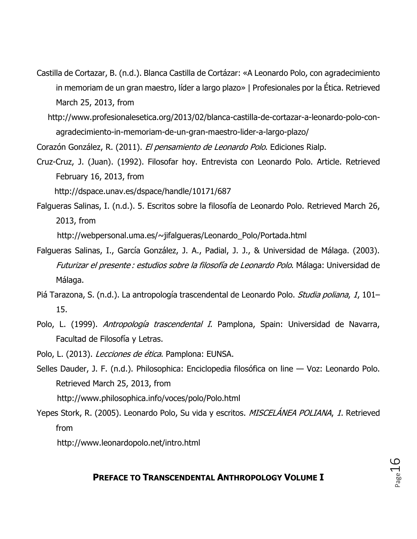- Castilla de Cortazar, B. (n.d.). Blanca Castilla de Cortázar: «A Leonardo Polo, con agradecimiento in memoriam de un gran maestro, líder a largo plazo» | Profesionales por la Ética. Retrieved March 25, 2013, from
	- http://www.profesionalesetica.org/2013/02/blanca-castilla-de-cortazar-a-leonardo-polo-conagradecimiento-in-memoriam-de-un-gran-maestro-lider-a-largo-plazo/

Corazón González, R. (2011). El pensamiento de Leonardo Polo. Ediciones Rialp.

Cruz-Cruz, J. (Juan). (1992). Filosofar hoy. Entrevista con Leonardo Polo. Article. Retrieved February 16, 2013, from

http://dspace.unav.es/dspace/handle/10171/687

Falgueras Salinas, I. (n.d.). 5. Escritos sobre la filosofía de Leonardo Polo. Retrieved March 26, 2013, from

http://webpersonal.uma.es/~jifalgueras/Leonardo\_Polo/Portada.html

- Falgueras Salinas, I., García González, J. A., Padial, J. J., & Universidad de Málaga. (2003). Futurizar el presente : estudios sobre la filosofía de Leonardo Polo. Málaga: Universidad de Málaga.
- Piá Tarazona, S. (n.d.). La antropología trascendental de Leonardo Polo. Studia poliana, 1, 101-15.
- Polo, L. (1999). Antropología trascendental I. Pamplona, Spain: Universidad de Navarra, Facultad de Filosofía y Letras.
- Polo, L. (2013). Lecciones de ética. Pamplona: EUNSA.
- Selles Dauder, J. F. (n.d.). Philosophica: Enciclopedia filosófica on line Voz: Leonardo Polo. Retrieved March 25, 2013, from http://www.philosophica.info/voces/polo/Polo.html

Yepes Stork, R. (2005). Leonardo Polo, Su vida y escritos. MISCELÁNEA POLIANA, 1. Retrieved from

http://www.leonardopolo.net/intro.html

### **PREFACE TO TRANSCENDENTAL ANTHROPOLOGY VOLUME I**

Page16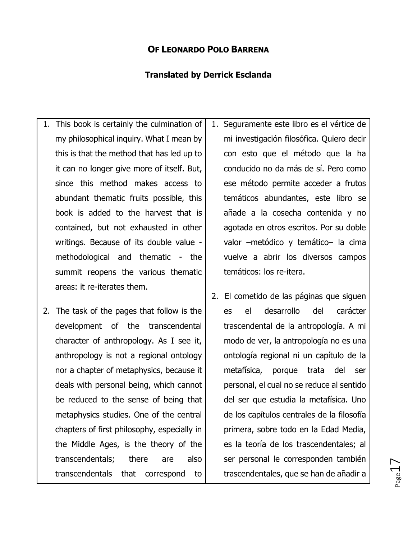## **OF LEONARDO POLO BARRENA**

### **Translated by Derrick Esclanda**

- 1. This book is certainly the culmination of my philosophical inquiry. What I mean by this is that the method that has led up to it can no longer give more of itself. But, since this method makes access to abundant thematic fruits possible, this book is added to the harvest that is contained, but not exhausted in other writings. Because of its double value methodological and thematic - the summit reopens the various thematic areas: it re-iterates them.
- 2. The task of the pages that follow is the development of the transcendental character of anthropology. As I see it, anthropology is not a regional ontology nor a chapter of metaphysics, because it deals with personal being, which cannot be reduced to the sense of being that metaphysics studies. One of the central chapters of first philosophy, especially in the Middle Ages, is the theory of the transcendentals; there are also transcendentals that correspond to

1. Seguramente este libro es el vértice de mi investigación filosófica. Quiero decir con esto que el método que la ha conducido no da más de sí. Pero como ese método permite acceder a frutos temáticos abundantes, este libro se añade a la cosecha contenida y no agotada en otros escritos. Por su doble valor –metódico y temático– la cima vuelve a abrir los diversos campos temáticos: los re-itera.

2. El cometido de las páginas que siguen es el desarrollo del carácter trascendental de la antropología. A mi modo de ver, la antropología no es una ontología regional ni un capítulo de la metafísica, porque trata del ser personal, el cual no se reduce al sentido del ser que estudia la metafísica. Uno de los capítulos centrales de la filosofía primera, sobre todo en la Edad Media, es la teoría de los trascendentales; al ser personal le corresponden también trascendentales, que se han de añadir a

 $_{\rm Page}17$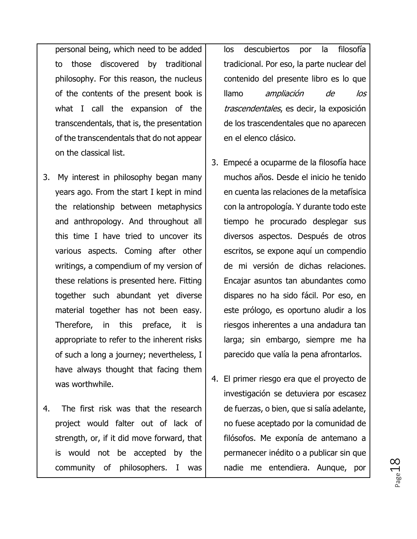personal being, which need to be added to those discovered by traditional philosophy. For this reason, the nucleus of the contents of the present book is what I call the expansion of the transcendentals, that is, the presentation of the transcendentals that do not appear on the classical list.

- 3. My interest in philosophy began many years ago. From the start I kept in mind the relationship between metaphysics and anthropology. And throughout all this time I have tried to uncover its various aspects. Coming after other writings, a compendium of my version of these relations is presented here. Fitting together such abundant yet diverse material together has not been easy. Therefore, in this preface, it is appropriate to refer to the inherent risks of such a long a journey; nevertheless, I have always thought that facing them was worthwhile.
- 4. The first risk was that the research project would falter out of lack of strength, or, if it did move forward, that is would not be accepted by the community of philosophers. I was

los descubiertos por la filosofía tradicional. Por eso, la parte nuclear del contenido del presente libro es lo que llamo ampliación de los trascendentales, es decir, la exposición de los trascendentales que no aparecen en el elenco clásico.

- 3. Empecé a ocuparme de la filosofía hace muchos años. Desde el inicio he tenido en cuenta las relaciones de la metafísica con la antropología. Y durante todo este tiempo he procurado desplegar sus diversos aspectos. Después de otros escritos, se expone aquí un compendio de mi versión de dichas relaciones. Encajar asuntos tan abundantes como dispares no ha sido fácil. Por eso, en este prólogo, es oportuno aludir a los riesgos inherentes a una andadura tan larga; sin embargo, siempre me ha parecido que valía la pena afrontarlos.
- 4. El primer riesgo era que el proyecto de investigación se detuviera por escasez de fuerzas, o bien, que si salía adelante, no fuese aceptado por la comunidad de filósofos. Me exponía de antemano a permanecer inédito o a publicar sin que nadie me entendiera. Aunque, por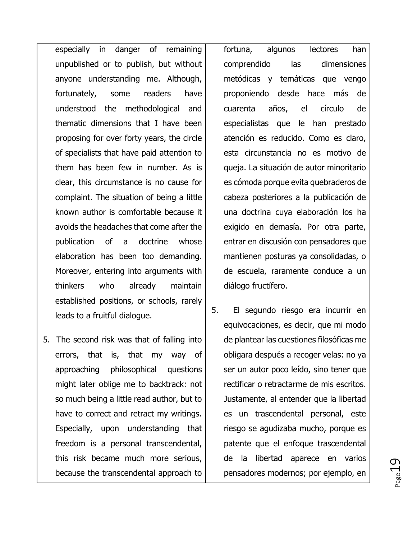especially in danger of remaining unpublished or to publish, but without anyone understanding me. Although, fortunately, some readers have understood the methodological and thematic dimensions that I have been proposing for over forty years, the circle of specialists that have paid attention to them has been few in number. As is clear, this circumstance is no cause for complaint. The situation of being a little known author is comfortable because it avoids the headaches that come after the publication of a doctrine whose elaboration has been too demanding. Moreover, entering into arguments with thinkers who already maintain established positions, or schools, rarely leads to a fruitful dialogue.

5. The second risk was that of falling into errors, that is, that my way of approaching philosophical questions might later oblige me to backtrack: not so much being a little read author, but to have to correct and retract my writings. Especially, upon understanding that freedom is a personal transcendental, this risk became much more serious, because the transcendental approach to

fortuna, algunos lectores han comprendido las dimensiones metódicas y temáticas que vengo proponiendo desde hace más de cuarenta años, el círculo de especialistas que le han prestado atención es reducido. Como es claro, esta circunstancia no es motivo de queja. La situación de autor minoritario es cómoda porque evita quebraderos de cabeza posteriores a la publicación de una doctrina cuya elaboración los ha exigido en demasía. Por otra parte, entrar en discusión con pensadores que mantienen posturas ya consolidadas, o de escuela, raramente conduce a un diálogo fructífero.

5. El segundo riesgo era incurrir en equivocaciones, es decir, que mi modo de plantear las cuestiones filosóficas me obligara después a recoger velas: no ya ser un autor poco leído, sino tener que rectificar o retractarme de mis escritos. Justamente, al entender que la libertad es un trascendental personal, este riesgo se agudizaba mucho, porque es patente que el enfoque trascendental de la libertad aparece en varios pensadores modernos; por ejemplo, en

 $_{\rm Page}$ 19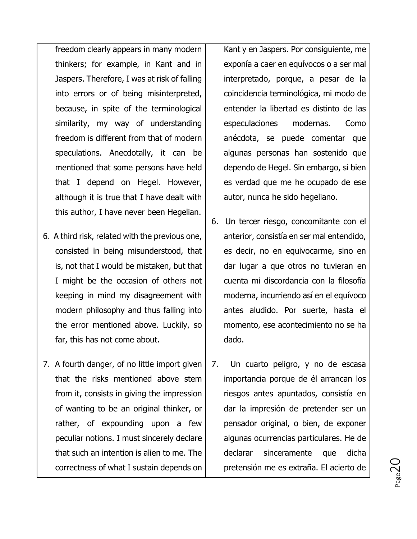freedom clearly appears in many modern thinkers; for example, in Kant and in Jaspers. Therefore, I was at risk of falling into errors or of being misinterpreted, because, in spite of the terminological similarity, my way of understanding freedom is different from that of modern speculations. Anecdotally, it can be mentioned that some persons have held that I depend on Hegel. However, although it is true that I have dealt with this author, I have never been Hegelian.

- 6. A third risk, related with the previous one, consisted in being misunderstood, that is, not that I would be mistaken, but that I might be the occasion of others not keeping in mind my disagreement with modern philosophy and thus falling into the error mentioned above. Luckily, so far, this has not come about.
- 7. A fourth danger, of no little import given that the risks mentioned above stem from it, consists in giving the impression of wanting to be an original thinker, or rather, of expounding upon a few peculiar notions. I must sincerely declare that such an intention is alien to me. The correctness of what I sustain depends on

Kant y en Jaspers. Por consiguiente, me exponía a caer en equívocos o a ser mal interpretado, porque, a pesar de la coincidencia terminológica, mi modo de entender la libertad es distinto de las especulaciones modernas. Como anécdota, se puede comentar que algunas personas han sostenido que dependo de Hegel. Sin embargo, si bien es verdad que me he ocupado de ese autor, nunca he sido hegeliano.

- 6. Un tercer riesgo, concomitante con el anterior, consistía en ser mal entendido, es decir, no en equivocarme, sino en dar lugar a que otros no tuvieran en cuenta mi discordancia con la filosofía moderna, incurriendo así en el equívoco antes aludido. Por suerte, hasta el momento, ese acontecimiento no se ha dado.
- 7. Un cuarto peligro, y no de escasa importancia porque de él arrancan los riesgos antes apuntados, consistía en dar la impresión de pretender ser un pensador original, o bien, de exponer algunas ocurrencias particulares. He de declarar sinceramente que dicha pretensión me es extraña. El acierto de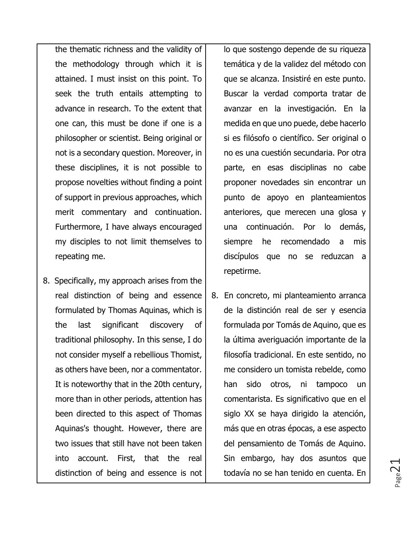the thematic richness and the validity of the methodology through which it is attained. I must insist on this point. To seek the truth entails attempting to advance in research. To the extent that one can, this must be done if one is a philosopher or scientist. Being original or not is a secondary question. Moreover, in these disciplines, it is not possible to propose novelties without finding a point of support in previous approaches, which merit commentary and continuation. Furthermore, I have always encouraged my disciples to not limit themselves to repeating me.

8. Specifically, my approach arises from the real distinction of being and essence formulated by Thomas Aquinas, which is the last significant discovery of traditional philosophy. In this sense, I do not consider myself a rebellious Thomist, as others have been, nor a commentator. It is noteworthy that in the 20th century, more than in other periods, attention has been directed to this aspect of Thomas Aquinas's thought. However, there are two issues that still have not been taken into account. First, that the real distinction of being and essence is not lo que sostengo depende de su riqueza temática y de la validez del método con que se alcanza. Insistiré en este punto. Buscar la verdad comporta tratar de avanzar en la investigación. En la medida en que uno puede, debe hacerlo si es filósofo o científico. Ser original o no es una cuestión secundaria. Por otra parte, en esas disciplinas no cabe proponer novedades sin encontrar un punto de apoyo en planteamientos anteriores, que merecen una glosa y una continuación. Por lo demás, siempre he recomendado a mis discípulos que no se reduzcan a repetirme.

8. En concreto, mi planteamiento arranca de la distinción real de ser y esencia formulada por Tomás de Aquino, que es la última averiguación importante de la filosofía tradicional. En este sentido, no me considero un tomista rebelde, como han sido otros, ni tampoco un comentarista. Es significativo que en el siglo XX se haya dirigido la atención, más que en otras épocas, a ese aspecto del pensamiento de Tomás de Aquino. Sin embargo, hay dos asuntos que todavía no se han tenido en cuenta. En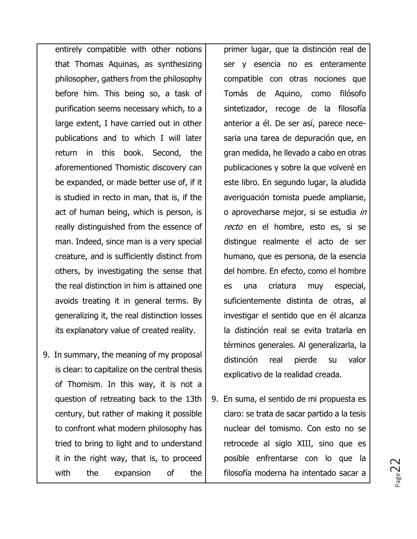entirely compatible with other notions that Thomas Aquinas, as synthesizing philosopher, gathers from the philosophy before him. This being so, a task of purification seems necessary which, to a large extent, I have carried out in other publications and to which I will later return in this book. Second, the aforementioned Thomistic discovery can be expanded, or made better use of, if it is studied in recto in man, that is, if the act of human being, which is person, is really distinguished from the essence of man. Indeed, since man is a very special creature, and is sufficiently distinct from others, by investigating the sense that the real distinction in him is attained one avoids treating it in general terms. By generalizing it, the real distinction losses its explanatory value of created reality.

9. In summary, the meaning of my proposal is clear: to capitalize on the central thesis of Thomism. In this way, it is not a question of retreating back to the 13th century, but rather of making it possible to confront what modern philosophy has tried to bring to light and to understand it in the right way, that is, to proceed with the expansion of the primer lugar, que la distinción real de ser y esencia no es enteramente compatible con otras nociones que Tomás de Aquino, como filósofo sintetizador, recoge de la filosofía anterior a él. De ser así, parece necesaria una tarea de depuración que, en gran medida, he llevado a cabo en otras publicaciones y sobre la que volveré en este libro. En segundo lugar, la aludida averiguación tomista puede ampliarse, o aprovecharse mejor, si se estudia in recto en el hombre, esto es, si se distingue realmente el acto de ser humano, que es persona, de la esencia del hombre. En efecto, como el hombre es una criatura muy especial, suficientemente distinta de otras, al investigar el sentido que en él alcanza la distinción real se evita tratarla en términos generales. Al generalizarla, la distinción real pierde su valor explicativo de la realidad creada.

9. En suma, el sentido de mi propuesta es claro: se trata de sacar partido a la tesis nuclear del tomismo. Con esto no se retrocede al siglo XIII, sino que es posible enfrentarse con lo que la filosofía moderna ha intentado sacar a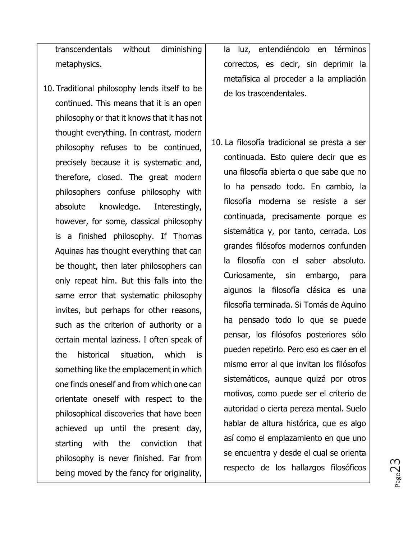transcendentals without diminishing metaphysics.

10. Traditional philosophy lends itself to be continued. This means that it is an open philosophy or that it knows that it has not thought everything. In contrast, modern philosophy refuses to be continued, precisely because it is systematic and, therefore, closed. The great modern philosophers confuse philosophy with absolute knowledge. Interestingly, however, for some, classical philosophy is a finished philosophy. If Thomas Aquinas has thought everything that can be thought, then later philosophers can only repeat him. But this falls into the same error that systematic philosophy invites, but perhaps for other reasons, such as the criterion of authority or a certain mental laziness. I often speak of the historical situation, which is something like the emplacement in which one finds oneself and from which one can orientate oneself with respect to the philosophical discoveries that have been achieved up until the present day, starting with the conviction that philosophy is never finished. Far from being moved by the fancy for originality,

la luz, entendiéndolo en términos correctos, es decir, sin deprimir la metafísica al proceder a la ampliación de los trascendentales.

10. La filosofía tradicional se presta a ser continuada. Esto quiere decir que es una filosofía abierta o que sabe que no lo ha pensado todo. En cambio, la filosofía moderna se resiste a ser continuada, precisamente porque es sistemática y, por tanto, cerrada. Los grandes filósofos modernos confunden la filosofía con el saber absoluto. Curiosamente, sin embargo, para algunos la filosofía clásica es una filosofía terminada. Si Tomás de Aquino ha pensado todo lo que se puede pensar, los filósofos posteriores sólo pueden repetirlo. Pero eso es caer en el mismo error al que invitan los filósofos sistemáticos, aunque quizá por otros motivos, como puede ser el criterio de autoridad o cierta pereza mental. Suelo hablar de altura histórica, que es algo así como el emplazamiento en que uno se encuentra y desde el cual se orienta respecto de los hallazgos filosóficos

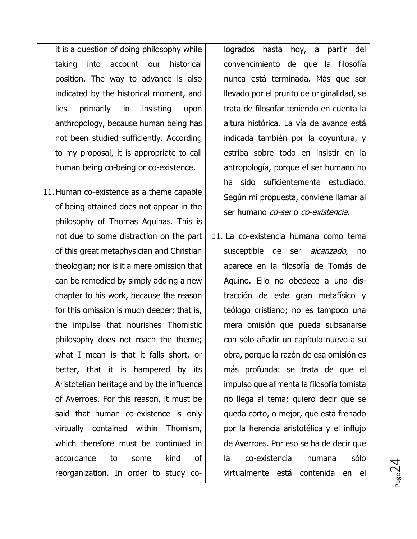it is a question  $\overline{of}$  doing philosophy while taking into account our historical position. The way to advance is also indicated by the historical moment, and lies primarily in insisting upon anthropology, because human being has not been studied sufficiently. According to my proposal, it is appropriate to call human being co-being or co-existence.

11.Human co-existence as a theme capable of being attained does not appear in the philosophy of Thomas Aquinas. This is not due to some distraction on the part of this great metaphysician and Christian theologian; nor is it a mere omission that can be remedied by simply adding a new chapter to his work, because the reason for this omission is much deeper: that is, the impulse that nourishes Thomistic philosophy does not reach the theme; what I mean is that it falls short, or better, that it is hampered by its Aristotelian heritage and by the influence of Averroes. For this reason, it must be said that human co-existence is only virtually contained within Thomism, which therefore must be continued in accordance to some kind of reorganization. In order to study cologrados hasta hoy, a partir del convencimiento de que la filosofía nunca está terminada. Más que ser llevado por el prurito de originalidad, se trata de filosofar teniendo en cuenta la altura histórica. La vía de avance está indicada también por la coyuntura, y estriba sobre todo en insistir en la antropología, porque el ser humano no ha sido suficientemente estudiado. Según mi propuesta, conviene llamar al ser humano *co-ser* o *co-existencia*.

11. La co-existencia humana como tema susceptible de ser alcanzado, no aparece en la filosofía de Tomás de Aquino. Ello no obedece a una distracción de este gran metafísico y teólogo cristiano; no es tampoco una mera omisión que pueda subsanarse con sólo añadir un capítulo nuevo a su obra, porque la razón de esa omisión es más profunda: se trata de que el impulso que alimenta la filosofía tomista no llega al tema; quiero decir que se queda corto, o mejor, que está frenado por la herencia aristotélica y el influjo de Averroes. Por eso se ha de decir que la co-existencia humana sólo virtualmente está contenida en el

 $_{\rm Page}$ 24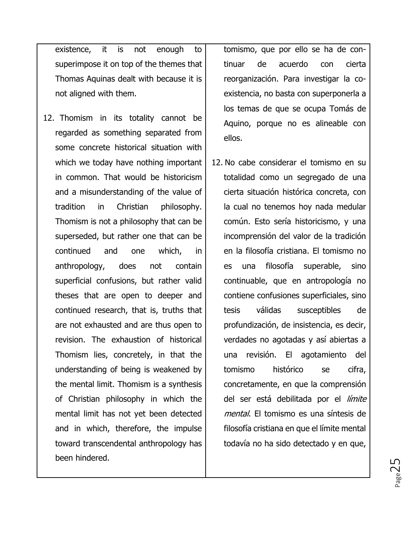existence, it is not enough to superimpose it on top of the themes that Thomas Aquinas dealt with because it is not aligned with them.

12. Thomism in its totality cannot be regarded as something separated from some concrete historical situation with which we today have nothing important in common. That would be historicism and a misunderstanding of the value of tradition in Christian philosophy. Thomism is not a philosophy that can be superseded, but rather one that can be continued and one which, in anthropology, does not contain superficial confusions, but rather valid theses that are open to deeper and continued research, that is, truths that are not exhausted and are thus open to revision. The exhaustion of historical Thomism lies, concretely, in that the understanding of being is weakened by the mental limit. Thomism is a synthesis of Christian philosophy in which the mental limit has not yet been detected and in which, therefore, the impulse toward transcendental anthropology has been hindered.

tomismo, que por ello se ha de continuar de acuerdo con cierta reorganización. Para investigar la coexistencia, no basta con superponerla a los temas de que se ocupa Tomás de Aquino, porque no es alineable con ellos.

12. No cabe considerar el tomismo en su totalidad como un segregado de una cierta situación histórica concreta, con la cual no tenemos hoy nada medular común. Esto sería historicismo, y una incomprensión del valor de la tradición en la filosofía cristiana. El tomismo no es una filosofía superable, sino continuable, que en antropología no contiene confusiones superficiales, sino tesis válidas susceptibles de profundización, de insistencia, es decir, verdades no agotadas y así abiertas a una revisión. El agotamiento del tomismo histórico se cifra, concretamente, en que la comprensión del ser está debilitada por el límite mental. El tomismo es una síntesis de filosofía cristiana en que el límite mental todavía no ha sido detectado y en que,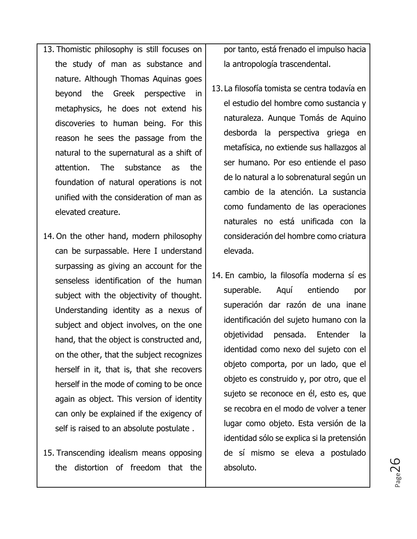- 13. Thomistic philosophy is still focuses on the study of man as substance and nature. Although Thomas Aquinas goes beyond the Greek perspective in metaphysics, he does not extend his discoveries to human being. For this reason he sees the passage from the natural to the supernatural as a shift of attention. The substance as the foundation of natural operations is not unified with the consideration of man as elevated creature.
- 14. On the other hand, modern philosophy can be surpassable. Here I understand surpassing as giving an account for the senseless identification of the human subject with the objectivity of thought. Understanding identity as a nexus of subject and object involves, on the one hand, that the object is constructed and, on the other, that the subject recognizes herself in it, that is, that she recovers herself in the mode of coming to be once again as object. This version of identity can only be explained if the exigency of self is raised to an absolute postulate .
- 15. Transcending idealism means opposing the distortion of freedom that the

por tanto, está frenado el impulso hacia la antropología trascendental.

- 13. La filosofía tomista se centra todavía en el estudio del hombre como sustancia y naturaleza. Aunque Tomás de Aquino desborda la perspectiva griega en metafísica, no extiende sus hallazgos al ser humano. Por eso entiende el paso de lo natural a lo sobrenatural según un cambio de la atención. La sustancia como fundamento de las operaciones naturales no está unificada con la consideración del hombre como criatura elevada.
- 14. En cambio, la filosofía moderna sí es superable. Aquí entiendo por superación dar razón de una inane identificación del sujeto humano con la objetividad pensada. Entender la identidad como nexo del sujeto con el objeto comporta, por un lado, que el objeto es construido y, por otro, que el sujeto se reconoce en él, esto es, que se recobra en el modo de volver a tener lugar como objeto. Esta versión de la identidad sólo se explica si la pretensión de sí mismo se eleva a postulado absoluto.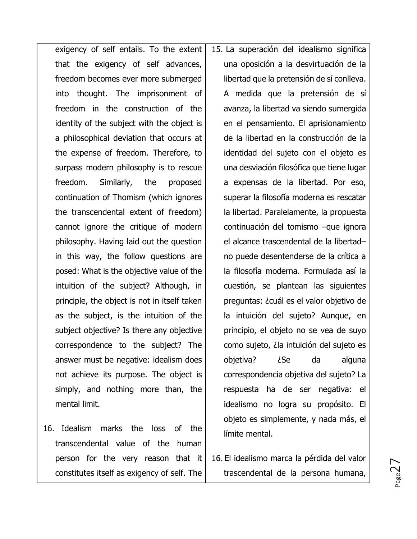exigency of self entails. To the extent that the exigency of self advances, freedom becomes ever more submerged into thought. The imprisonment of freedom in the construction of the identity of the subject with the object is a philosophical deviation that occurs at the expense of freedom. Therefore, to surpass modern philosophy is to rescue freedom. Similarly, the proposed continuation of Thomism (which ignores the transcendental extent of freedom) cannot ignore the critique of modern philosophy. Having laid out the question in this way, the follow questions are posed: What is the objective value of the intuition of the subject? Although, in principle, the object is not in itself taken as the subject, is the intuition of the subject objective? Is there any objective correspondence to the subject? The answer must be negative: idealism does not achieve its purpose. The object is simply, and nothing more than, the mental limit.

16. Idealism marks the loss of the transcendental value of the human person for the very reason that it constitutes itself as exigency of self. The

15. La superación del idealismo significa una oposición a la desvirtuación de la libertad que la pretensión de sí conlleva. A medida que la pretensión de sí avanza, la libertad va siendo sumergida en el pensamiento. El aprisionamiento de la libertad en la construcción de la identidad del sujeto con el objeto es una desviación filosófica que tiene lugar a expensas de la libertad. Por eso, superar la filosofía moderna es rescatar la libertad. Paralelamente, la propuesta continuación del tomismo –que ignora el alcance trascendental de la libertad– no puede desentenderse de la crítica a la filosofía moderna. Formulada así la cuestión, se plantean las siguientes preguntas: ¿cuál es el valor objetivo de la intuición del sujeto? Aunque, en principio, el objeto no se vea de suyo como sujeto, ¿la intuición del sujeto es objetiva? ¿Se da alguna correspondencia objetiva del sujeto? La respuesta ha de ser negativa: el idealismo no logra su propósito. El objeto es simplemente, y nada más, el límite mental.

16. El idealismo marca la pérdida del valor trascendental de la persona humana,

 $_{\rm Page}$ 27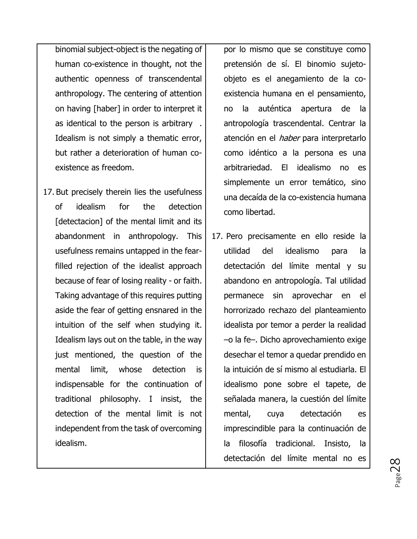binomial subject-object is the negating of human co-existence in thought, not the authentic openness of transcendental anthropology. The centering of attention on having [haber] in order to interpret it as identical to the person is arbitrary . Idealism is not simply a thematic error, but rather a deterioration of human coexistence as freedom.

17. But precisely therein lies the usefulness of idealism for the detection [detectacion] of the mental limit and its abandonment in anthropology. This usefulness remains untapped in the fearfilled rejection of the idealist approach because of fear of losing reality - or faith. Taking advantage of this requires putting aside the fear of getting ensnared in the intuition of the self when studying it. Idealism lays out on the table, in the way just mentioned, the question of the mental limit, whose detection is indispensable for the continuation of traditional philosophy. I insist, the detection of the mental limit is not independent from the task of overcoming idealism.

por lo mismo que se constituye como pretensión de sí. El binomio sujetoobjeto es el anegamiento de la coexistencia humana en el pensamiento, no la auténtica apertura de la antropología trascendental. Centrar la atención en el *haber* para interpretarlo como idéntico a la persona es una arbitrariedad. El idealismo no es simplemente un error temático, sino una decaída de la co-existencia humana como libertad.

17. Pero precisamente en ello reside la utilidad del idealismo para la detectación del límite mental y su abandono en antropología. Tal utilidad permanece sin aprovechar en el horrorizado rechazo del planteamiento idealista por temor a perder la realidad –o la fe–. Dicho aprovechamiento exige desechar el temor a quedar prendido en la intuición de sí mismo al estudiarla. El idealismo pone sobre el tapete, de señalada manera, la cuestión del límite mental, cuya detectación es imprescindible para la continuación de la filosofía tradicional. Insisto, la detectación del límite mental no es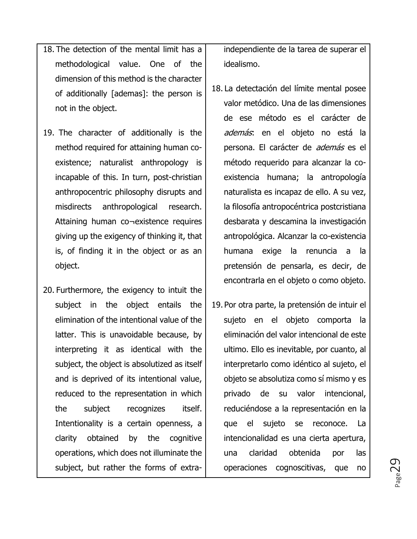- 18. The detection of the mental limit has a methodological value. One of the dimension of this method is the character of additionally [ademas]: the person is not in the object.
- 19. The character of additionally is the method required for attaining human coexistence; naturalist anthropology is incapable of this. In turn, post-christian anthropocentric philosophy disrupts and misdirects anthropological research. Attaining human co¬existence requires giving up the exigency of thinking it, that is, of finding it in the object or as an object.
- 20. Furthermore, the exigency to intuit the subject in the object entails the elimination of the intentional value of the latter. This is unavoidable because, by interpreting it as identical with the subject, the object is absolutized as itself and is deprived of its intentional value, reduced to the representation in which the subject recognizes itself. Intentionality is a certain openness, a clarity obtained by the cognitive operations, which does not illuminate the subject, but rather the forms of extra-

independiente de la tarea de superar el idealismo.

- 18. La detectación del límite mental posee valor metódico. Una de las dimensiones de ese método es el carácter de además: en el objeto no está la persona. El carácter de *además* es el método requerido para alcanzar la coexistencia humana; la antropología naturalista es incapaz de ello. A su vez, la filosofía antropocéntrica postcristiana desbarata y descamina la investigación antropológica. Alcanzar la co-existencia humana exige la renuncia a la pretensión de pensarla, es decir, de encontrarla en el objeto o como objeto.
- 19. Por otra parte, la pretensión de intuir el sujeto en el objeto comporta la eliminación del valor intencional de este ultimo. Ello es inevitable, por cuanto, al interpretarlo como idéntico al sujeto, el objeto se absolutiza como sí mismo y es privado de su valor intencional, reduciéndose a la representación en la que el sujeto se reconoce. La intencionalidad es una cierta apertura, una claridad obtenida por las operaciones cognoscitivas, que no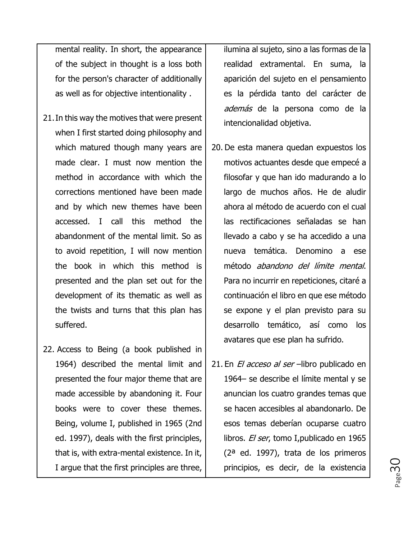mental reality. In short, the appearance of the subject in thought is a loss both for the person's character of additionally as well as for objective intentionality .

- 21.In this way the motives that were present when I first started doing philosophy and which matured though many years are made clear. I must now mention the method in accordance with which the corrections mentioned have been made and by which new themes have been accessed. I call this method the abandonment of the mental limit. So as to avoid repetition, I will now mention the book in which this method is presented and the plan set out for the development of its thematic as well as the twists and turns that this plan has suffered.
- 22. Access to Being (a book published in 1964) described the mental limit and presented the four major theme that are made accessible by abandoning it. Four books were to cover these themes. Being, volume I, published in 1965 (2nd ed. 1997), deals with the first principles, that is, with extra-mental existence. In it, I argue that the first principles are three,

ilumina al sujeto, sino a las formas de la realidad extramental. En suma, la aparición del sujeto en el pensamiento es la pérdida tanto del carácter de además de la persona como de la intencionalidad objetiva.

- 20. De esta manera quedan expuestos los motivos actuantes desde que empecé a filosofar y que han ido madurando a lo largo de muchos años. He de aludir ahora al método de acuerdo con el cual las rectificaciones señaladas se han llevado a cabo y se ha accedido a una nueva temática. Denomino a ese método abandono del límite mental. Para no incurrir en repeticiones, citaré a continuación el libro en que ese método se expone y el plan previsto para su desarrollo temático, así como los avatares que ese plan ha sufrido.
- 21. En El acceso al ser-libro publicado en 1964– se describe el límite mental y se anuncian los cuatro grandes temas que se hacen accesibles al abandonarlo. De esos temas deberían ocuparse cuatro libros. El ser, tomo I, publicado en 1965 (2ª ed. 1997), trata de los primeros principios, es decir, de la existencia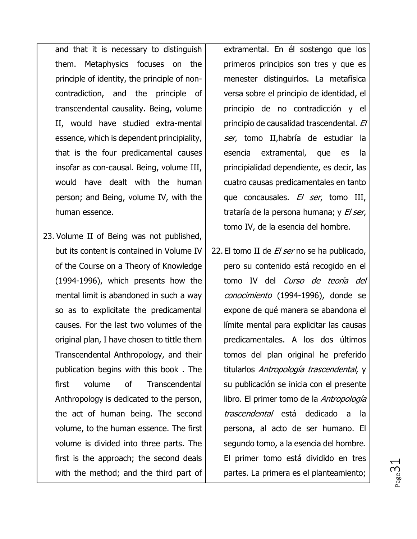and that it is necessary to distinguish them. Metaphysics focuses on the principle of identity, the principle of noncontradiction, and the principle of transcendental causality. Being, volume II, would have studied extra-mental essence, which is dependent principiality, that is the four predicamental causes insofar as con-causal. Being, volume III, would have dealt with the human person; and Being, volume IV, with the human essence.

23. Volume II of Being was not published, but its content is contained in Volume IV of the Course on a Theory of Knowledge (1994-1996), which presents how the mental limit is abandoned in such a way so as to explicitate the predicamental causes. For the last two volumes of the original plan, I have chosen to tittle them Transcendental Anthropology, and their publication begins with this book . The first volume of Transcendental Anthropology is dedicated to the person, the act of human being. The second volume, to the human essence. The first volume is divided into three parts. The first is the approach; the second deals with the method; and the third part of extramental. En él sostengo que los primeros principios son tres y que es menester distinguirlos. La metafísica versa sobre el principio de identidad, el principio de no contradicción y el principio de causalidad trascendental. El ser, tomo II, habría de estudiar la esencia extramental, que es la principialidad dependiente, es decir, las cuatro causas predicamentales en tanto que concausales. El ser, tomo III, trataría de la persona humana; y El ser, tomo IV, de la esencia del hombre.

22. El tomo II de *El ser* no se ha publicado, pero su contenido está recogido en el tomo IV del Curso de teoría del conocimiento (1994-1996), donde se expone de qué manera se abandona el límite mental para explicitar las causas predicamentales. A los dos últimos tomos del plan original he preferido titularlos Antropología trascendental, y su publicación se inicia con el presente libro. El primer tomo de la Antropología trascendental está dedicado a la persona, al acto de ser humano. El segundo tomo, a la esencia del hombre. El primer tomo está dividido en tres partes. La primera es el planteamiento;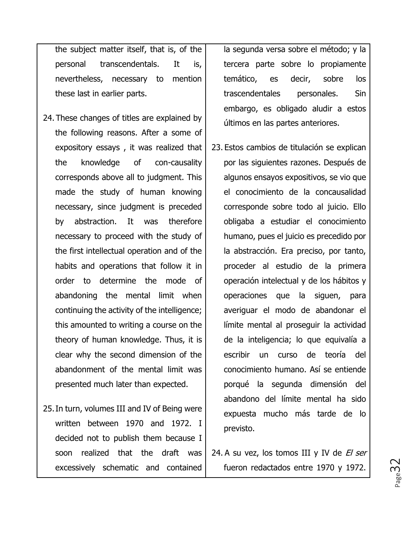the subject matter itself, that is, of the personal transcendentals. It is, nevertheless, necessary to mention these last in earlier parts.

- 24. These changes of titles are explained by the following reasons. After a some of expository essays , it was realized that the knowledge of con-causality corresponds above all to judgment. This made the study of human knowing necessary, since judgment is preceded by abstraction. It was therefore necessary to proceed with the study of the first intellectual operation and of the habits and operations that follow it in order to determine the mode of abandoning the mental limit when continuing the activity of the intelligence; this amounted to writing a course on the theory of human knowledge. Thus, it is clear why the second dimension of the abandonment of the mental limit was presented much later than expected.
- 25.In turn, volumes III and IV of Being were written between 1970 and 1972. I decided not to publish them because I soon realized that the draft was excessively schematic and contained

la segunda versa sobre el método; y la tercera parte sobre lo propiamente temático, es decir, sobre los trascendentales personales. Sin embargo, es obligado aludir a estos últimos en las partes anteriores.

23. Estos cambios de titulación se explican por las siguientes razones. Después de algunos ensayos expositivos, se vio que el conocimiento de la concausalidad corresponde sobre todo al juicio. Ello obligaba a estudiar el conocimiento humano, pues el juicio es precedido por la abstracción. Era preciso, por tanto, proceder al estudio de la primera operación intelectual y de los hábitos y operaciones que la siguen, para averiguar el modo de abandonar el límite mental al proseguir la actividad de la inteligencia; lo que equivalía a escribir un curso de teoría del conocimiento humano. Así se entiende porqué la segunda dimensión del abandono del límite mental ha sido expuesta mucho más tarde de lo previsto.

24. A su vez, los tomos III y IV de  $E$  ser fueron redactados entre 1970 y 1972.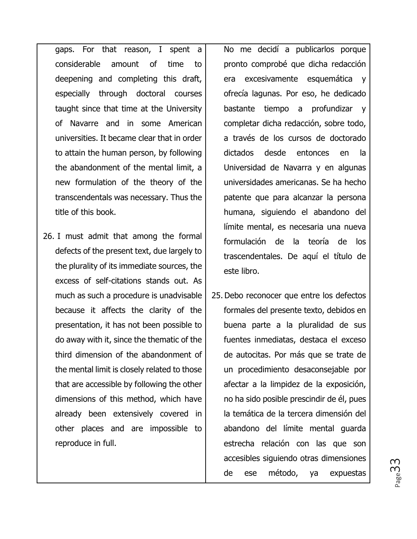gaps. For that reason, I spent a considerable amount of time to deepening and completing this draft, especially through doctoral courses taught since that time at the University of Navarre and in some American universities. It became clear that in order to attain the human person, by following the abandonment of the mental limit, a new formulation of the theory of the transcendentals was necessary. Thus the title of this book.

26. I must admit that among the formal defects of the present text, due largely to the plurality of its immediate sources, the excess of self-citations stands out. As much as such a procedure is unadvisable because it affects the clarity of the presentation, it has not been possible to do away with it, since the thematic of the third dimension of the abandonment of the mental limit is closely related to those that are accessible by following the other dimensions of this method, which have already been extensively covered in other places and are impossible to reproduce in full.

No me decidí a publicarlos porque pronto comprobé que dicha redacción era excesivamente esquemática y ofrecía lagunas. Por eso, he dedicado bastante tiempo a profundizar y completar dicha redacción, sobre todo, a través de los cursos de doctorado dictados desde entonces en la Universidad de Navarra y en algunas universidades americanas. Se ha hecho patente que para alcanzar la persona humana, siguiendo el abandono del límite mental, es necesaria una nueva formulación de la teoría de los trascendentales. De aquí el título de este libro.

25.Debo reconocer que entre los defectos formales del presente texto, debidos en buena parte a la pluralidad de sus fuentes inmediatas, destaca el exceso de autocitas. Por más que se trate de un procedimiento desaconsejable por afectar a la limpidez de la exposición, no ha sido posible prescindir de él, pues la temática de la tercera dimensión del abandono del límite mental guarda estrecha relación con las que son accesibles siguiendo otras dimensiones de ese método, ya expuestas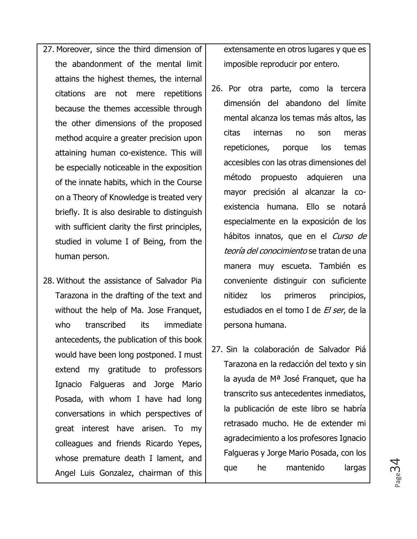- 27. Moreover, since the third dimension of the abandonment of the mental limit attains the highest themes, the internal citations are not mere repetitions because the themes accessible through the other dimensions of the proposed method acquire a greater precision upon attaining human co-existence. This will be especially noticeable in the exposition of the innate habits, which in the Course on a Theory of Knowledge is treated very briefly. It is also desirable to distinguish with sufficient clarity the first principles, studied in volume I of Being, from the human person.
- 28. Without the assistance of Salvador Pia Tarazona in the drafting of the text and without the help of Ma. Jose Franquet, who transcribed its immediate antecedents, the publication of this book would have been long postponed. I must extend my gratitude to professors Ignacio Falgueras and Jorge Mario Posada, with whom I have had long conversations in which perspectives of great interest have arisen. To my colleagues and friends Ricardo Yepes, whose premature death I lament, and Angel Luis Gonzalez, chairman of this

extensamente en otros lugares y que es imposible reproducir por entero.

- 26. Por otra parte, como la tercera dimensión del abandono del límite mental alcanza los temas más altos, las citas internas no son meras repeticiones, porque los temas accesibles con las otras dimensiones del método propuesto adquieren una mayor precisión al alcanzar la coexistencia humana. Ello se notará especialmente en la exposición de los hábitos innatos, que en el Curso de teoría del conocimiento se tratan de una manera muy escueta. También es conveniente distinguir con suficiente nitidez los primeros principios, estudiados en el tomo I de El ser, de la persona humana.
- 27. Sin la colaboración de Salvador Piá Tarazona en la redacción del texto y sin la ayuda de Mª José Franquet, que ha transcrito sus antecedentes inmediatos, la publicación de este libro se habría retrasado mucho. He de extender mi agradecimiento a los profesores Ignacio Falgueras y Jorge Mario Posada, con los que he mantenido largas